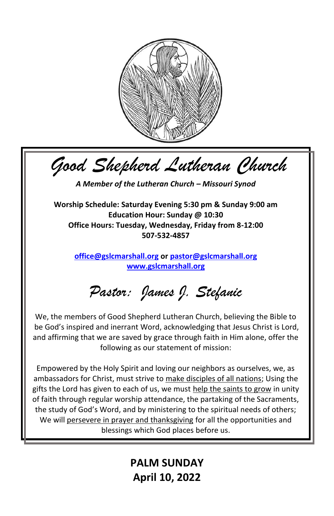

*Good Shepherd Lutheran Church*

*A Member of the Lutheran Church – Missouri Synod*

**Worship Schedule: Saturday Evening 5:30 pm & Sunday 9:00 am Education Hour: Sunday @ 10:30 Office Hours: Tuesday, Wednesday, Friday from 8-12:00 507-532-4857**

**[office@gslcmarshall.org](mailto:office@gslcmarshall.org) o[r pastor@gslcmarshall.org](mailto:pastor@gslcmarshall.org) [www.gslcmarshall.org](http://www.gslcmarshall.org/)**

*Pastor: James J. Stefanic*

We, the members of Good Shepherd Lutheran Church, believing the Bible to be God's inspired and inerrant Word, acknowledging that Jesus Christ is Lord, and affirming that we are saved by grace through faith in Him alone, offer the following as our statement of mission:

Empowered by the Holy Spirit and loving our neighbors as ourselves, we, as ambassadors for Christ, must strive to make disciples of all nations; Using the gifts the Lord has given to each of us, we must help the saints to grow in unity of faith through regular worship attendance, the partaking of the Sacraments, the study of God's Word, and by ministering to the spiritual needs of others; We will persevere in prayer and thanksgiving for all the opportunities and blessings which God places before us.

> **PALM SUNDAY April 10, 2022**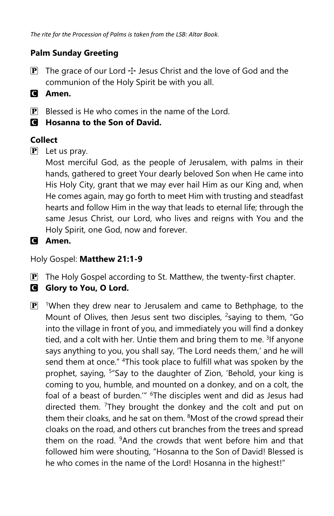## **Palm Sunday Greeting**

- **P** The grace of our Lord  $\div$  Jesus Christ and the love of God and the communion of the Holy Spirit be with you all.
- C **Amen.**
- $\mathbf{P}$  Blessed is He who comes in the name of the Lord.
- C **Hosanna to the Son of David.**

# **Collect**

 $\mathbf{P}$  Let us pray.

Most merciful God, as the people of Jerusalem, with palms in their hands, gathered to greet Your dearly beloved Son when He came into His Holy City, grant that we may ever hail Him as our King and, when He comes again, may go forth to meet Him with trusting and steadfast hearts and follow Him in the way that leads to eternal life; through the same Jesus Christ, our Lord, who lives and reigns with You and the Holy Spirit, one God, now and forever.

```
C Amen.
```
Holy Gospel: **Matthew 21:1-9**

- $\mathbf{P}$  The Holy Gospel according to St. Matthew, the twenty-first chapter.
- **G** Glory to You, O Lord.
- $\mathbf{P}$  <sup>1</sup>When they drew near to Jerusalem and came to Bethphage, to the Mount of Olives, then Jesus sent two disciples, <sup>2</sup>saying to them, "Go into the village in front of you, and immediately you will find a donkey tied, and a colt with her. Untie them and bring them to me. <sup>3</sup>If anyone says anything to you, you shall say, 'The Lord needs them,' and he will send them at once." <sup>4</sup>This took place to fulfill what was spoken by the prophet, saying, <sup>5</sup>"Say to the daughter of Zion, 'Behold, your king is coming to you, humble, and mounted on a donkey, and on a colt, the foal of a beast of burden.<sup>"" 6</sup>The disciples went and did as Jesus had directed them. <sup>7</sup>They brought the donkey and the colt and put on them their cloaks, and he sat on them. <sup>8</sup>Most of the crowd spread their cloaks on the road, and others cut branches from the trees and spread them on the road. <sup>9</sup>And the crowds that went before him and that followed him were shouting, "Hosanna to the Son of David! Blessed is he who comes in the name of the Lord! Hosanna in the highest!"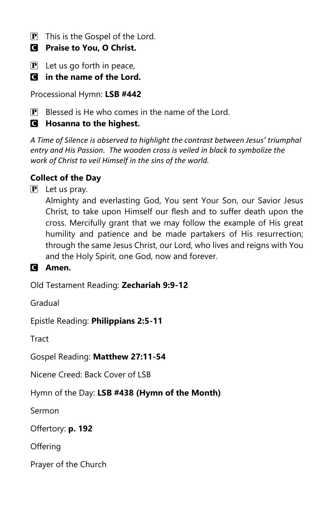- $\overline{P}$  This is the Gospel of the Lord.
- C **Praise to You, O Christ.**
- $\mathbf{P}$  Let us go forth in peace,
- C **in the name of the Lord.**

Processional Hymn: **LSB #442**

 $\mathbf{P}$  Blessed is He who comes in the name of the Lord.

# C **Hosanna to the highest.**

*A Time of Silence is observed to highlight the contrast between Jesus' triumphal entry and His Passion. The wooden cross is veiled in black to symbolize the work of Christ to veil Himself in the sins of the world.*

# **Collect of the Day**

 $\mathbf{P}$  Let us pray.

Almighty and everlasting God, You sent Your Son, our Savior Jesus Christ, to take upon Himself our flesh and to suffer death upon the cross. Mercifully grant that we may follow the example of His great humility and patience and be made partakers of His resurrection; through the same Jesus Christ, our Lord, who lives and reigns with You and the Holy Spirit, one God, now and forever.

C **Amen.**

Old Testament Reading: **Zechariah 9:9-12**

Gradual

Epistle Reading: **Philippians 2:5-11**

Tract

Gospel Reading: **Matthew 27:11-54**

Nicene Creed: Back Cover of LSB

Hymn of the Day: **LSB #438 (Hymn of the Month)**

Sermon

Offertory: **p. 192**

**Offering** 

Prayer of the Church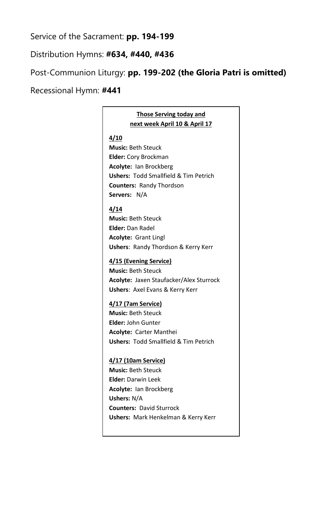## Service of the Sacrament: **pp. 194-199**

## Distribution Hymns: **#634, #440, #436**

Post-Communion Liturgy: **pp. 199-202 (the Gloria Patri is omitted)**

Recessional Hymn: **#441**

## **Those Serving today and next week April 10 & April 17**

#### **4/10**

**Music:** Beth Steuck **Elder:** Cory Brockman **Acolyte:** Ian Brockberg **Ushers:** Todd Smallfield & Tim Petrich **Counters:** Randy Thordson **Servers:** N/A

#### **4/14**

**Music:** Beth Steuck **Elder:** Dan Radel **Acolyte:** Grant Lingl **Ushers**: Randy Thordson & Kerry Kerr

#### **4/15 (Evening Service)**

**Music:** Beth Steuck **Acolyte:** Jaxen Staufacker/Alex Sturrock **Ushers**: Axel Evans & Kerry Kerr

#### **4/17 (7am Service)**

**Music:** Beth Steuck **Elder:** John Gunter **Acolyte:** Carter Manthei **Ushers:** Todd Smallfield & Tim Petrich

#### **4/17 (10am Service) Music:** Beth Steuck

**Elder:** Darwin Leek **Acolyte:** Ian Brockberg **Ushers:** N/A **Counters:** David Sturrock **Ushers:** Mark Henkelman & Kerry Kerr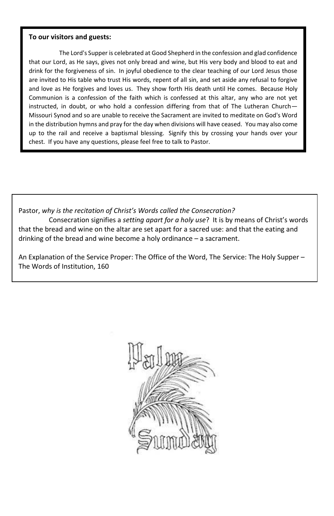#### **To our visitors and guests:**

The Lord's Supper is celebrated at Good Shepherd in the confession and glad confidence that our Lord, as He says, gives not only bread and wine, but His very body and blood to eat and drink for the forgiveness of sin. In joyful obedience to the clear teaching of our Lord Jesus those are invited to His table who trust His words, repent of all sin, and set aside any refusal to forgive and love as He forgives and loves us. They show forth His death until He comes. Because Holy Communion is a confession of the faith which is confessed at this altar, any who are not yet instructed, in doubt, or who hold a confession differing from that of The Lutheran Church— Missouri Synod and so are unable to receive the Sacrament are invited to meditate on God's Word in the distribution hymns and pray for the day when divisions will have ceased. You may also come up to the rail and receive a baptismal blessing. Signify this by crossing your hands over your chest. If you have any questions, please feel free to talk to Pastor.

Pastor, *why is the recitation of Christ's Words called the Consecration?* Consecration signifies a *setting apart for a holy use*? It is by means of Christ's words that the bread and wine on the altar are set apart for a sacred use: and that the eating and

drinking of the bread and wine become a holy ordinance – a sacrament.

An Explanation of the Service Proper: The Office of the Word, The Service: The Holy Supper – The Words of Institution, 160

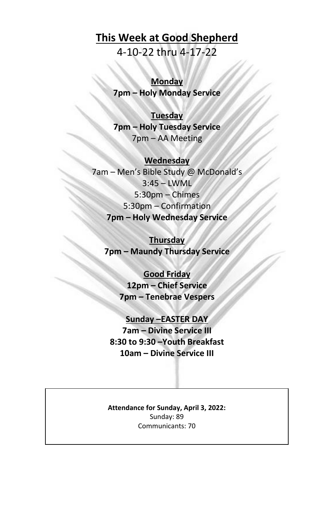# **This Week at Good Shepherd**

4-10-22 thru 4-17-22

**Monday 7pm – Holy Monday Service**

## **Tuesday**

**7pm – Holy Tuesday Service** 7pm – AA Meeting

## **Wednesday**

7am – Men's Bible Study @ McDonald's 3:45 – LWML 5:30pm – Chimes 5:30pm – Confirmation **7pm – Holy Wednesday Service**

**Thursday 7pm – Maundy Thursday Service**

> **Good Friday 12pm – Chief Service 7pm – Tenebrae Vespers**

**Sunday –EASTER DAY 7am – Divine Service III 8:30 to 9:30 –Youth Breakfast 10am – Divine Service III**

**Attendance for Sunday, April 3, 2022:** Sunday: 89 Communicants: 70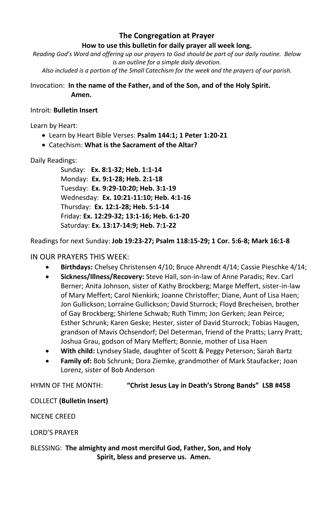## **The Congregation at Prayer**

#### **How to use this bulletin for daily prayer all week long.**

*Reading God's Word and offering up our prayers to God should be part of our daily routine. Below is an outline for a simple daily devotion.*

*Also included is a portion of the Small Catechism for the week and the prayers of our parish.*

Invocation: **In the name of the Father, and of the Son, and of the Holy Spirit. Amen.**

#### Introit: **Bulletin Insert**

Learn by Heart:

- Learn by Heart Bible Verses: **Psalm 144:1; 1 Peter 1:20-21**
- Catechism: **What is the Sacrament of the Altar?**

Daily Readings:

Sunday: **Ex. 8:1-32; Heb. 1:1-14** Monday: **Ex. 9:1-28; Heb. 2:1-18** Tuesday: **Ex. 9:29-10:20; Heb. 3:1-19** Wednesday: **Ex. 10:21-11:10; Heb. 4:1-16** Thursday: **Ex. 12:1-28; Heb. 5:1-14** Friday: **Ex. 12:29-32; 13:1-16; Heb. 6:1-20** Saturday: **Ex. 13:17-14:9; Heb. 7:1-22**

Readings for next Sunday: **Job 19:23-27; Psalm 118:15-29; 1 Cor. 5:6-8; Mark 16:1-8**

### IN OUR PRAYERS THIS WEEK:

- **Birthdays:** Chelsey Christensen 4/10; Bruce Ahrendt 4/14; Cassie Pieschke 4/14;
- **Sickness/Illness/Recovery:** Steve Hall, son-in-law of Anne Paradis; Rev. Carl Berner; Anita Johnson, sister of Kathy Brockberg; Marge Meffert, sister-in-law of Mary Meffert; Carol Nienkirk; Joanne Christoffer; Diane, Aunt of Lisa Haen; Jon Gullickson; Lorraine Gullickson; David Sturrock; Floyd Brecheisen, brother of Gay Brockberg; Shirlene Schwab; Ruth Timm; Jon Gerken; Jean Peirce; Esther Schrunk; Karen Geske; Hester, sister of David Sturrock; Tobias Haugen, grandson of Mavis Ochsendorf; Del Determan, friend of the Pratts; Larry Pratt; Joshua Grau, godson of Mary Meffert; Bonnie, mother of Lisa Haen
- **With child:** Lyndsey Slade, daughter of Scott & Peggy Peterson; Sarah Bartz
- **Family of:** Bob Schrunk; Dora Ziemke, grandmother of Mark Staufacker; Joan Lorenz, sister of Bob Anderson

HYMN OF THE MONTH: **"Christ Jesus Lay in Death's Strong Bands" LSB #458**

#### COLLECT **(Bulletin Insert)**

NICENE CREED

LORD'S PRAYER

BLESSING: **The almighty and most merciful God, Father, Son, and Holy Spirit, bless and preserve us. Amen.**